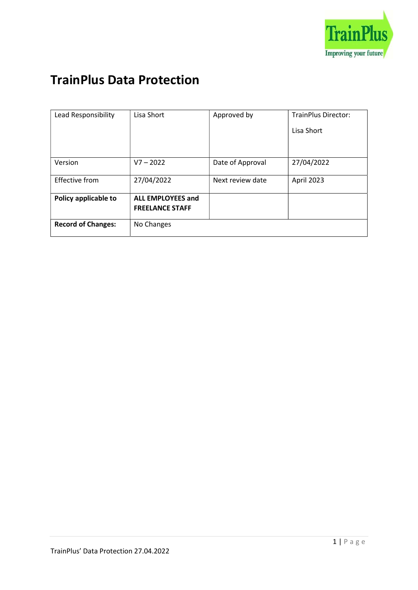

# TrainPlus Data Protection

| Lead Responsibility       | Lisa Short               | Approved by      | TrainPlus Director: |
|---------------------------|--------------------------|------------------|---------------------|
|                           |                          |                  | Lisa Short          |
|                           |                          |                  |                     |
|                           |                          |                  |                     |
| Version                   | $V7 - 2022$              | Date of Approval | 27/04/2022          |
|                           |                          |                  |                     |
| Effective from            | 27/04/2022               | Next review date | April 2023          |
| Policy applicable to      | <b>ALL EMPLOYEES and</b> |                  |                     |
|                           | <b>FREELANCE STAFF</b>   |                  |                     |
|                           |                          |                  |                     |
| <b>Record of Changes:</b> | No Changes               |                  |                     |
|                           |                          |                  |                     |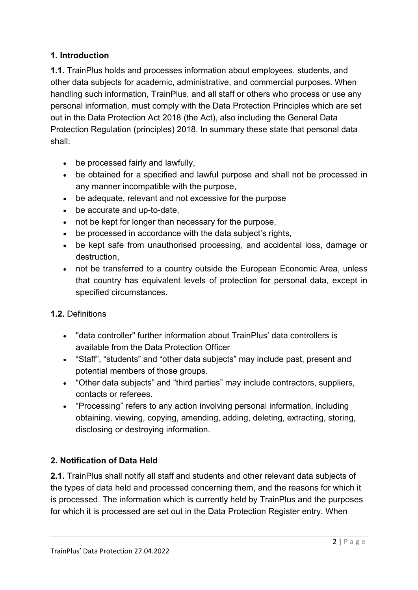# 1. Introduction

1.1. TrainPlus holds and processes information about employees, students, and other data subjects for academic, administrative, and commercial purposes. When handling such information, TrainPlus, and all staff or others who process or use any personal information, must comply with the Data Protection Principles which are set out in the Data Protection Act 2018 (the Act), also including the General Data Protection Regulation (principles) 2018. In summary these state that personal data shall:

- be processed fairly and lawfully,
- be obtained for a specified and lawful purpose and shall not be processed in any manner incompatible with the purpose,
- be adequate, relevant and not excessive for the purpose
- be accurate and up-to-date,
- not be kept for longer than necessary for the purpose,
- be processed in accordance with the data subject's rights,
- be kept safe from unauthorised processing, and accidental loss, damage or destruction,
- not be transferred to a country outside the European Economic Area, unless that country has equivalent levels of protection for personal data, except in specified circumstances.

#### 1.2. Definitions

- "data controller" further information about TrainPlus' data controllers is available from the Data Protection Officer
- "Staff", "students" and "other data subjects" may include past, present and potential members of those groups.
- "Other data subjects" and "third parties" may include contractors, suppliers, contacts or referees.
- "Processing" refers to any action involving personal information, including obtaining, viewing, copying, amending, adding, deleting, extracting, storing, disclosing or destroying information.

#### 2. Notification of Data Held

2.1. TrainPlus shall notify all staff and students and other relevant data subjects of the types of data held and processed concerning them, and the reasons for which it is processed. The information which is currently held by TrainPlus and the purposes for which it is processed are set out in the Data Protection Register entry. When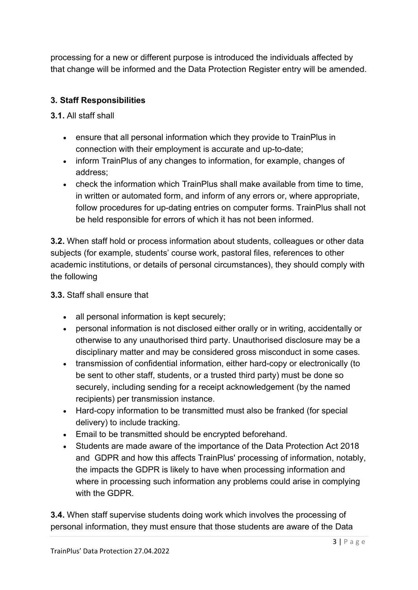processing for a new or different purpose is introduced the individuals affected by that change will be informed and the Data Protection Register entry will be amended.

# 3. Staff Responsibilities

3.1. All staff shall

- ensure that all personal information which they provide to TrainPlus in connection with their employment is accurate and up-to-date;
- inform TrainPlus of any changes to information, for example, changes of address;
- check the information which TrainPlus shall make available from time to time, in written or automated form, and inform of any errors or, where appropriate, follow procedures for up-dating entries on computer forms. TrainPlus shall not be held responsible for errors of which it has not been informed.

3.2. When staff hold or process information about students, colleagues or other data subjects (for example, students' course work, pastoral files, references to other academic institutions, or details of personal circumstances), they should comply with the following

3.3. Staff shall ensure that

- all personal information is kept securely;
- personal information is not disclosed either orally or in writing, accidentally or otherwise to any unauthorised third party. Unauthorised disclosure may be a disciplinary matter and may be considered gross misconduct in some cases.
- transmission of confidential information, either hard-copy or electronically (to be sent to other staff, students, or a trusted third party) must be done so securely, including sending for a receipt acknowledgement (by the named recipients) per transmission instance.
- Hard-copy information to be transmitted must also be franked (for special delivery) to include tracking.
- Email to be transmitted should be encrypted beforehand.
- Students are made aware of the importance of the Data Protection Act 2018 and GDPR and how this affects TrainPlus' processing of information, notably, the impacts the GDPR is likely to have when processing information and where in processing such information any problems could arise in complying with the GDPR.

3.4. When staff supervise students doing work which involves the processing of personal information, they must ensure that those students are aware of the Data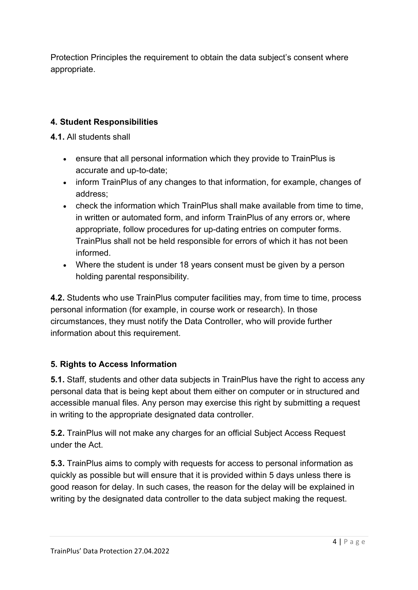Protection Principles the requirement to obtain the data subject's consent where appropriate.

# 4. Student Responsibilities

4.1. All students shall

- ensure that all personal information which they provide to TrainPlus is accurate and up-to-date;
- inform TrainPlus of any changes to that information, for example, changes of address;
- check the information which TrainPlus shall make available from time to time, in written or automated form, and inform TrainPlus of any errors or, where appropriate, follow procedures for up-dating entries on computer forms. TrainPlus shall not be held responsible for errors of which it has not been informed.
- Where the student is under 18 years consent must be given by a person holding parental responsibility.

4.2. Students who use TrainPlus computer facilities may, from time to time, process personal information (for example, in course work or research). In those circumstances, they must notify the Data Controller, who will provide further information about this requirement.

# 5. Rights to Access Information

5.1. Staff, students and other data subjects in TrainPlus have the right to access any personal data that is being kept about them either on computer or in structured and accessible manual files. Any person may exercise this right by submitting a request in writing to the appropriate designated data controller.

5.2. TrainPlus will not make any charges for an official Subject Access Request under the Act.

5.3. TrainPlus aims to comply with requests for access to personal information as quickly as possible but will ensure that it is provided within 5 days unless there is good reason for delay. In such cases, the reason for the delay will be explained in writing by the designated data controller to the data subject making the request.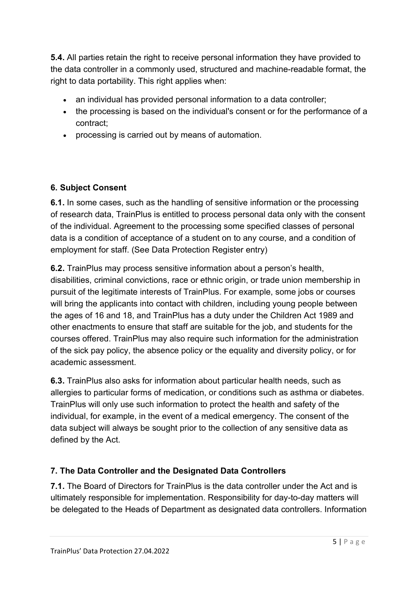5.4. All parties retain the right to receive personal information they have provided to the data controller in a commonly used, structured and machine-readable format, the right to data portability. This right applies when:

- an individual has provided personal information to a data controller;
- the processing is based on the individual's consent or for the performance of a contract;
- processing is carried out by means of automation.

# 6. Subject Consent

6.1. In some cases, such as the handling of sensitive information or the processing of research data, TrainPlus is entitled to process personal data only with the consent of the individual. Agreement to the processing some specified classes of personal data is a condition of acceptance of a student on to any course, and a condition of employment for staff. (See Data Protection Register entry)

6.2. TrainPlus may process sensitive information about a person's health, disabilities, criminal convictions, race or ethnic origin, or trade union membership in pursuit of the legitimate interests of TrainPlus. For example, some jobs or courses will bring the applicants into contact with children, including young people between the ages of 16 and 18, and TrainPlus has a duty under the Children Act 1989 and other enactments to ensure that staff are suitable for the job, and students for the courses offered. TrainPlus may also require such information for the administration of the sick pay policy, the absence policy or the equality and diversity policy, or for academic assessment.

6.3. TrainPlus also asks for information about particular health needs, such as allergies to particular forms of medication, or conditions such as asthma or diabetes. TrainPlus will only use such information to protect the health and safety of the individual, for example, in the event of a medical emergency. The consent of the data subject will always be sought prior to the collection of any sensitive data as defined by the Act.

# 7. The Data Controller and the Designated Data Controllers

7.1. The Board of Directors for TrainPlus is the data controller under the Act and is ultimately responsible for implementation. Responsibility for day-to-day matters will be delegated to the Heads of Department as designated data controllers. Information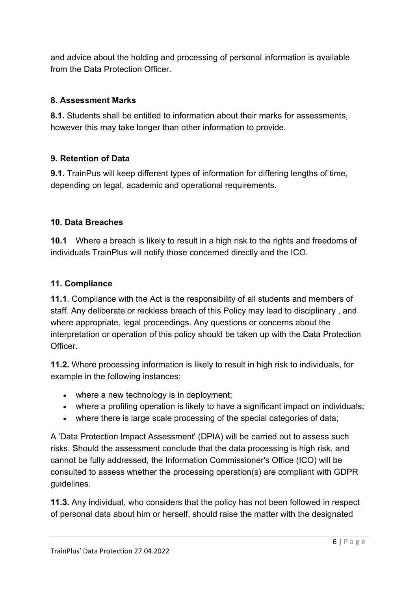and advice about the holding and processing of personal information is available from the Data Protection Officer.

#### 8. Assessment Marks

8.1. Students shall be entitled to information about their marks for assessments, however this may take longer than other information to provide.

#### 9. Retention of Data

9.1. TrainPus will keep different types of information for differing lengths of time, depending on legal, academic and operational requirements.

#### 10. Data Breaches

10.1 Where a breach is likely to result in a high risk to the rights and freedoms of individuals TrainPlus will notify those concerned directly and the ICO.

#### 11. Compliance

11.1. Compliance with the Act is the responsibility of all students and members of staff. Any deliberate or reckless breach of this Policy may lead to disciplinary , and where appropriate, legal proceedings. Any questions or concerns about the interpretation or operation of this policy should be taken up with the Data Protection **Officer** 

11.2. Where processing information is likely to result in high risk to individuals, for example in the following instances:

- where a new technology is in deployment;
- where a profiling operation is likely to have a significant impact on individuals;
- where there is large scale processing of the special categories of data;

A 'Data Protection Impact Assessment' (DPIA) will be carried out to assess such risks. Should the assessment conclude that the data processing is high risk, and cannot be fully addressed, the Information Commissioner's Office (ICO) will be consulted to assess whether the processing operation(s) are compliant with GDPR guidelines.

11.3. Any individual, who considers that the policy has not been followed in respect of personal data about him or herself, should raise the matter with the designated